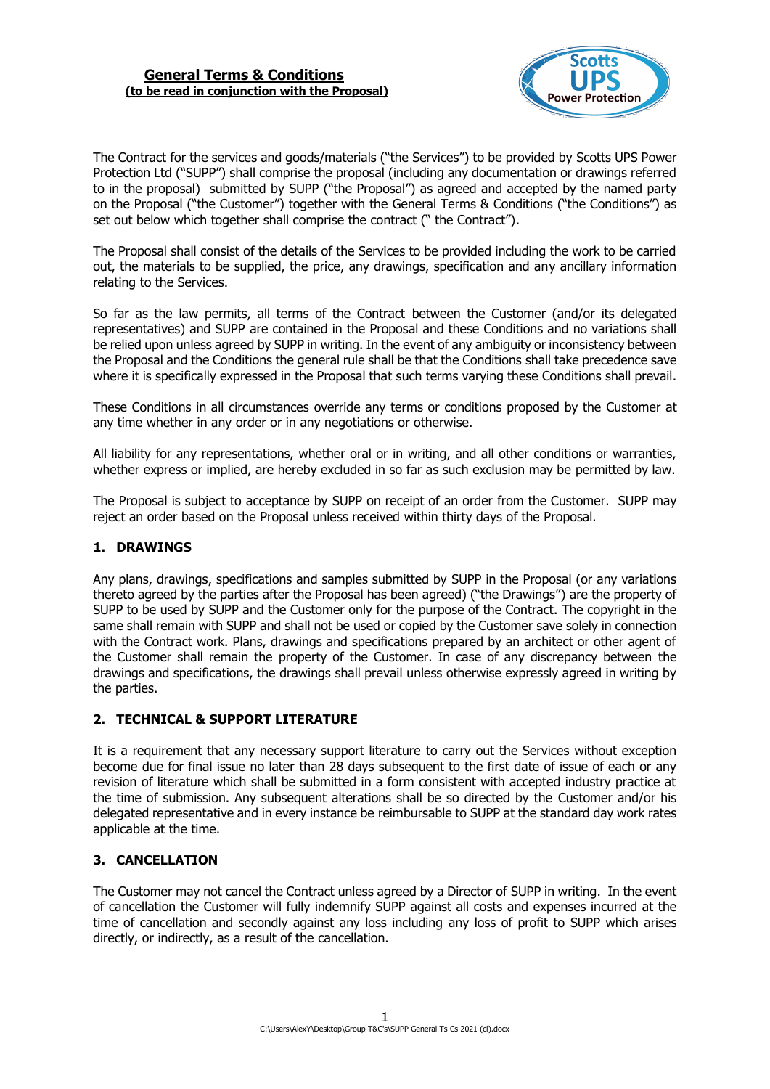

The Contract for the services and goods/materials ("the Services") to be provided by Scotts UPS Power Protection Ltd ("SUPP") shall comprise the proposal (including any documentation or drawings referred to in the proposal) submitted by SUPP ("the Proposal") as agreed and accepted by the named party on the Proposal ("the Customer") together with the General Terms & Conditions ("the Conditions") as set out below which together shall comprise the contract ("the Contract").

The Proposal shall consist of the details of the Services to be provided including the work to be carried out, the materials to be supplied, the price, any drawings, specification and any ancillary information relating to the Services.

So far as the law permits, all terms of the Contract between the Customer (and/or its delegated representatives) and SUPP are contained in the Proposal and these Conditions and no variations shall be relied upon unless agreed by SUPP in writing. In the event of any ambiguity or inconsistency between the Proposal and the Conditions the general rule shall be that the Conditions shall take precedence save where it is specifically expressed in the Proposal that such terms varying these Conditions shall prevail.

These Conditions in all circumstances override any terms or conditions proposed by the Customer at any time whether in any order or in any negotiations or otherwise.

All liability for any representations, whether oral or in writing, and all other conditions or warranties, whether express or implied, are hereby excluded in so far as such exclusion may be permitted by law.

The Proposal is subject to acceptance by SUPP on receipt of an order from the Customer. SUPP may reject an order based on the Proposal unless received within thirty days of the Proposal.

### **1. DRAWINGS**

Any plans, drawings, specifications and samples submitted by SUPP in the Proposal (or any variations thereto agreed by the parties after the Proposal has been agreed) ("the Drawings") are the property of SUPP to be used by SUPP and the Customer only for the purpose of the Contract. The copyright in the same shall remain with SUPP and shall not be used or copied by the Customer save solely in connection with the Contract work. Plans, drawings and specifications prepared by an architect or other agent of the Customer shall remain the property of the Customer. In case of any discrepancy between the drawings and specifications, the drawings shall prevail unless otherwise expressly agreed in writing by the parties.

### **2. TECHNICAL & SUPPORT LITERATURE**

It is a requirement that any necessary support literature to carry out the Services without exception become due for final issue no later than 28 days subsequent to the first date of issue of each or any revision of literature which shall be submitted in a form consistent with accepted industry practice at the time of submission. Any subsequent alterations shall be so directed by the Customer and/or his delegated representative and in every instance be reimbursable to SUPP at the standard day work rates applicable at the time.

# **3. CANCELLATION**

The Customer may not cancel the Contract unless agreed by a Director of SUPP in writing. In the event of cancellation the Customer will fully indemnify SUPP against all costs and expenses incurred at the time of cancellation and secondly against any loss including any loss of profit to SUPP which arises directly, or indirectly, as a result of the cancellation.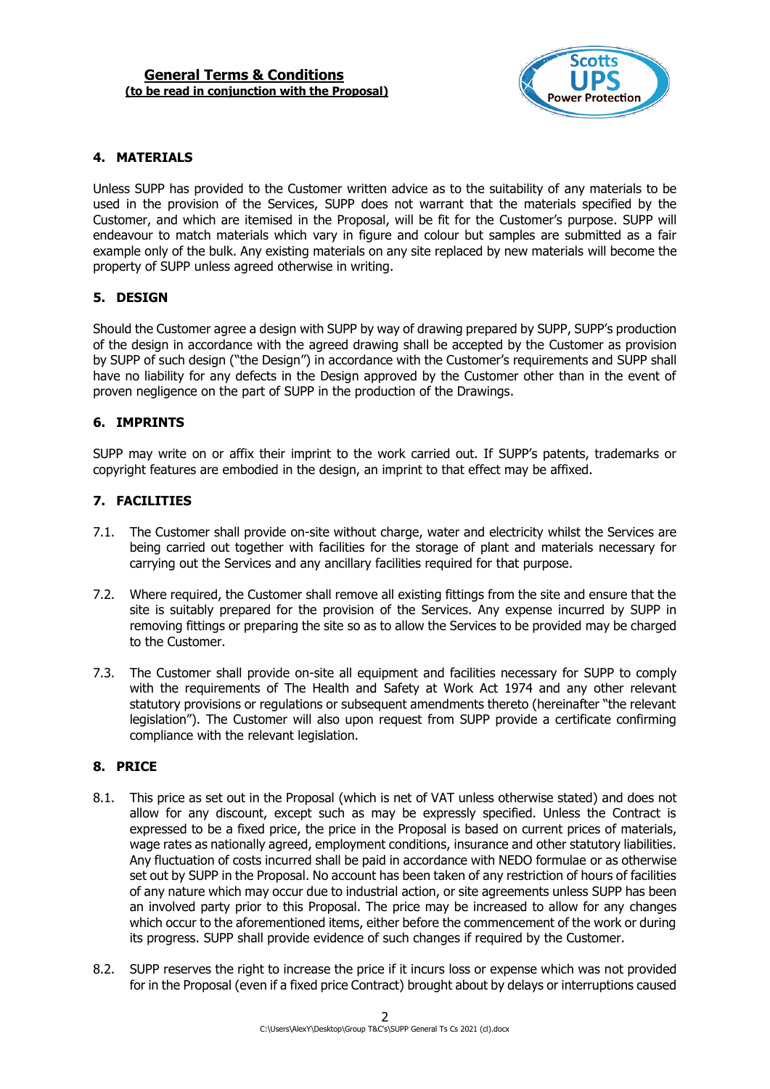

### **4. MATERIALS**

Unless SUPP has provided to the Customer written advice as to the suitability of any materials to be used in the provision of the Services, SUPP does not warrant that the materials specified by the Customer, and which are itemised in the Proposal, will be fit for the Customer's purpose. SUPP will endeavour to match materials which vary in figure and colour but samples are submitted as a fair example only of the bulk. Any existing materials on any site replaced by new materials will become the property of SUPP unless agreed otherwise in writing.

### **5. DESIGN**

Should the Customer agree a design with SUPP by way of drawing prepared by SUPP, SUPP's production of the design in accordance with the agreed drawing shall be accepted by the Customer as provision by SUPP of such design ("the Design") in accordance with the Customer's requirements and SUPP shall have no liability for any defects in the Design approved by the Customer other than in the event of proven negligence on the part of SUPP in the production of the Drawings.

### **6. IMPRINTS**

SUPP may write on or affix their imprint to the work carried out. If SUPP's patents, trademarks or copyright features are embodied in the design, an imprint to that effect may be affixed.

### **7. FACILITIES**

- 7.1. The Customer shall provide on-site without charge, water and electricity whilst the Services are being carried out together with facilities for the storage of plant and materials necessary for carrying out the Services and any ancillary facilities required for that purpose.
- 7.2. Where required, the Customer shall remove all existing fittings from the site and ensure that the site is suitably prepared for the provision of the Services. Any expense incurred by SUPP in removing fittings or preparing the site so as to allow the Services to be provided may be charged to the Customer.
- 7.3. The Customer shall provide on-site all equipment and facilities necessary for SUPP to comply with the requirements of The Health and Safety at Work Act 1974 and any other relevant statutory provisions or regulations or subsequent amendments thereto (hereinafter "the relevant legislation"). The Customer will also upon request from SUPP provide a certificate confirming compliance with the relevant legislation.

### **8. PRICE**

- 8.1. This price as set out in the Proposal (which is net of VAT unless otherwise stated) and does not allow for any discount, except such as may be expressly specified. Unless the Contract is expressed to be a fixed price, the price in the Proposal is based on current prices of materials, wage rates as nationally agreed, employment conditions, insurance and other statutory liabilities. Any fluctuation of costs incurred shall be paid in accordance with NEDO formulae or as otherwise set out by SUPP in the Proposal. No account has been taken of any restriction of hours of facilities of any nature which may occur due to industrial action, or site agreements unless SUPP has been an involved party prior to this Proposal. The price may be increased to allow for any changes which occur to the aforementioned items, either before the commencement of the work or during its progress. SUPP shall provide evidence of such changes if required by the Customer.
- 8.2. SUPP reserves the right to increase the price if it incurs loss or expense which was not provided for in the Proposal (even if a fixed price Contract) brought about by delays or interruptions caused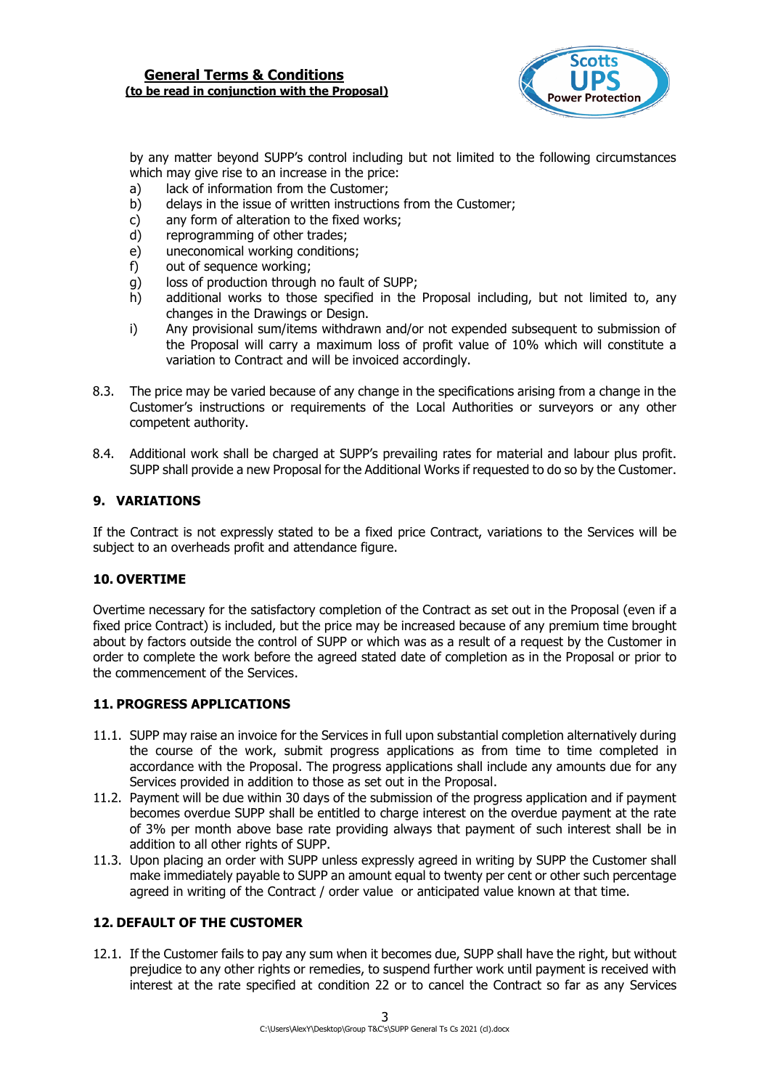

by any matter beyond SUPP's control including but not limited to the following circumstances which may give rise to an increase in the price:

- a) lack of information from the Customer;
- b) delays in the issue of written instructions from the Customer;
- c) any form of alteration to the fixed works;
- d) reprogramming of other trades;
- e) uneconomical working conditions;
- f) out of sequence working;
- g) loss of production through no fault of SUPP;
- h) additional works to those specified in the Proposal including, but not limited to, any changes in the Drawings or Design.
- i) Any provisional sum/items withdrawn and/or not expended subsequent to submission of the Proposal will carry a maximum loss of profit value of 10% which will constitute a variation to Contract and will be invoiced accordingly.
- 8.3. The price may be varied because of any change in the specifications arising from a change in the Customer's instructions or requirements of the Local Authorities or surveyors or any other competent authority.
- 8.4. Additional work shall be charged at SUPP's prevailing rates for material and labour plus profit. SUPP shall provide a new Proposal for the Additional Works if requested to do so by the Customer.

### **9. VARIATIONS**

If the Contract is not expressly stated to be a fixed price Contract, variations to the Services will be subject to an overheads profit and attendance figure.

### **10. OVERTIME**

Overtime necessary for the satisfactory completion of the Contract as set out in the Proposal (even if a fixed price Contract) is included, but the price may be increased because of any premium time brought about by factors outside the control of SUPP or which was as a result of a request by the Customer in order to complete the work before the agreed stated date of completion as in the Proposal or prior to the commencement of the Services.

### **11. PROGRESS APPLICATIONS**

- 11.1. SUPP may raise an invoice for the Services in full upon substantial completion alternatively during the course of the work, submit progress applications as from time to time completed in accordance with the Proposal. The progress applications shall include any amounts due for any Services provided in addition to those as set out in the Proposal.
- 11.2. Payment will be due within 30 days of the submission of the progress application and if payment becomes overdue SUPP shall be entitled to charge interest on the overdue payment at the rate of 3% per month above base rate providing always that payment of such interest shall be in addition to all other rights of SUPP.
- 11.3. Upon placing an order with SUPP unless expressly agreed in writing by SUPP the Customer shall make immediately payable to SUPP an amount equal to twenty per cent or other such percentage agreed in writing of the Contract / order value or anticipated value known at that time.

### **12. DEFAULT OF THE CUSTOMER**

12.1. If the Customer fails to pay any sum when it becomes due, SUPP shall have the right, but without prejudice to any other rights or remedies, to suspend further work until payment is received with interest at the rate specified at condition 22 or to cancel the Contract so far as any Services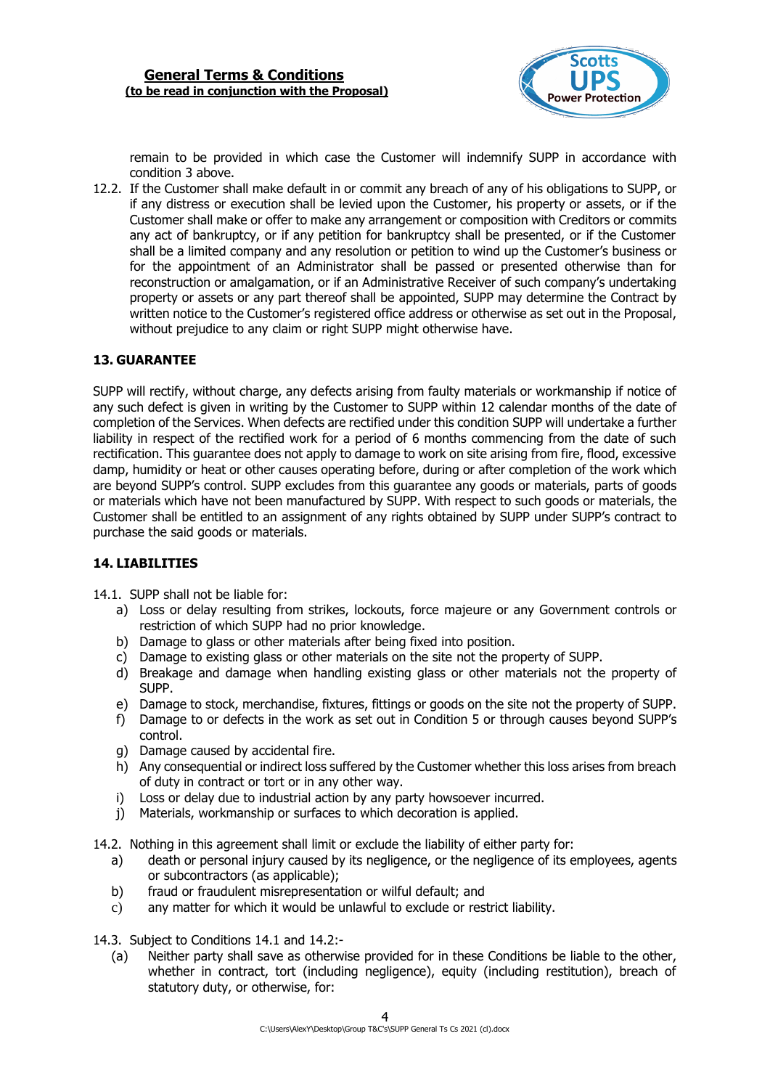

remain to be provided in which case the Customer will indemnify SUPP in accordance with condition 3 above.

12.2. If the Customer shall make default in or commit any breach of any of his obligations to SUPP, or if any distress or execution shall be levied upon the Customer, his property or assets, or if the Customer shall make or offer to make any arrangement or composition with Creditors or commits any act of bankruptcy, or if any petition for bankruptcy shall be presented, or if the Customer shall be a limited company and any resolution or petition to wind up the Customer's business or for the appointment of an Administrator shall be passed or presented otherwise than for reconstruction or amalgamation, or if an Administrative Receiver of such company's undertaking property or assets or any part thereof shall be appointed, SUPP may determine the Contract by written notice to the Customer's registered office address or otherwise as set out in the Proposal, without prejudice to any claim or right SUPP might otherwise have.

# **13. GUARANTEE**

SUPP will rectify, without charge, any defects arising from faulty materials or workmanship if notice of any such defect is given in writing by the Customer to SUPP within 12 calendar months of the date of completion of the Services. When defects are rectified under this condition SUPP will undertake a further liability in respect of the rectified work for a period of 6 months commencing from the date of such rectification. This guarantee does not apply to damage to work on site arising from fire, flood, excessive damp, humidity or heat or other causes operating before, during or after completion of the work which are beyond SUPP's control. SUPP excludes from this guarantee any goods or materials, parts of goods or materials which have not been manufactured by SUPP. With respect to such goods or materials, the Customer shall be entitled to an assignment of any rights obtained by SUPP under SUPP's contract to purchase the said goods or materials.

### **14. LIABILITIES**

14.1. SUPP shall not be liable for:

- a) Loss or delay resulting from strikes, lockouts, force majeure or any Government controls or restriction of which SUPP had no prior knowledge.
- b) Damage to glass or other materials after being fixed into position.
- c) Damage to existing glass or other materials on the site not the property of SUPP.
- d) Breakage and damage when handling existing glass or other materials not the property of SUPP.
- e) Damage to stock, merchandise, fixtures, fittings or goods on the site not the property of SUPP.
- f) Damage to or defects in the work as set out in Condition 5 or through causes beyond SUPP's control.
- g) Damage caused by accidental fire.
- h) Any consequential or indirect loss suffered by the Customer whether this loss arises from breach of duty in contract or tort or in any other way.
- i) Loss or delay due to industrial action by any party howsoever incurred.
- j) Materials, workmanship or surfaces to which decoration is applied.
- 14.2. Nothing in this agreement shall limit or exclude the liability of either party for:
	- a) death or personal injury caused by its negligence, or the negligence of its employees, agents or subcontractors (as applicable);
	- b) fraud or fraudulent misrepresentation or wilful default; and
	- c) any matter for which it would be unlawful to exclude or restrict liability.
- 14.3. Subject to Conditions 14.1 and 14.2:-
	- (a) Neither party shall save as otherwise provided for in these Conditions be liable to the other, whether in contract, tort (including negligence), equity (including restitution), breach of statutory duty, or otherwise, for: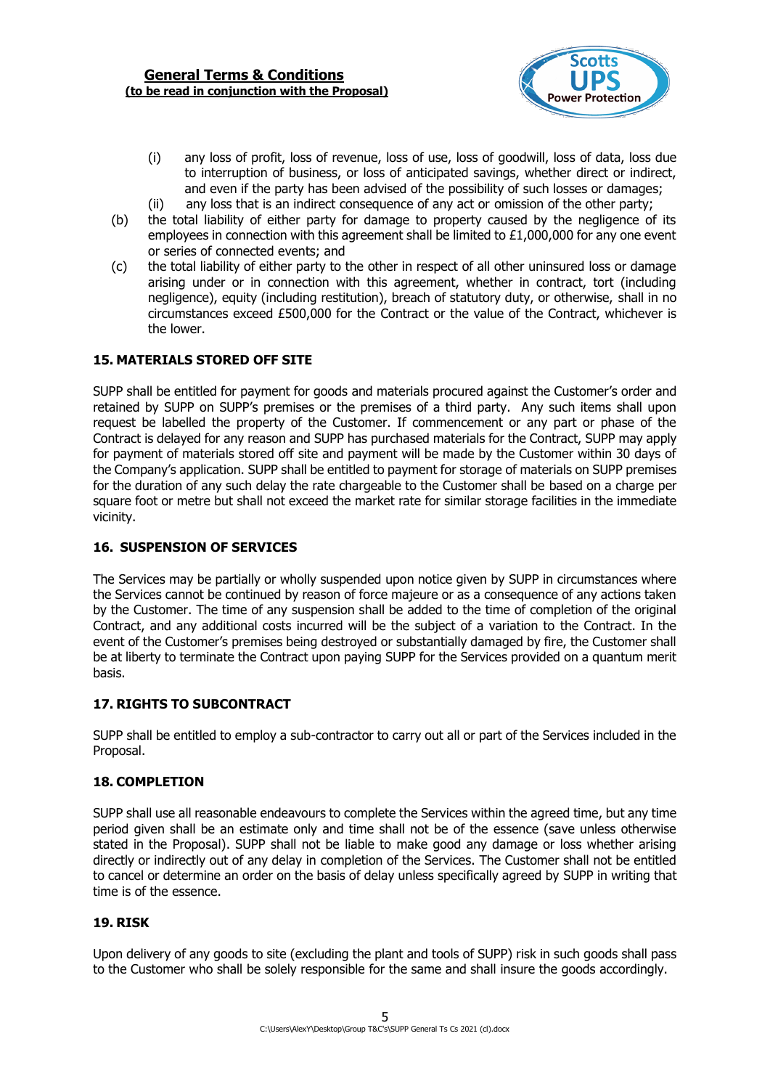

- (i) any loss of profit, loss of revenue, loss of use, loss of goodwill, loss of data, loss due to interruption of business, or loss of anticipated savings, whether direct or indirect, and even if the party has been advised of the possibility of such losses or damages;
- (ii) any loss that is an indirect consequence of any act or omission of the other party;
- (b) the total liability of either party for damage to property caused by the negligence of its employees in connection with this agreement shall be limited to  $£1,000,000$  for any one event or series of connected events; and
- (c) the total liability of either party to the other in respect of all other uninsured loss or damage arising under or in connection with this agreement, whether in contract, tort (including negligence), equity (including restitution), breach of statutory duty, or otherwise, shall in no circumstances exceed £500,000 for the Contract or the value of the Contract, whichever is the lower.

# **15. MATERIALS STORED OFF SITE**

SUPP shall be entitled for payment for goods and materials procured against the Customer's order and retained by SUPP on SUPP's premises or the premises of a third party. Any such items shall upon request be labelled the property of the Customer. If commencement or any part or phase of the Contract is delayed for any reason and SUPP has purchased materials for the Contract, SUPP may apply for payment of materials stored off site and payment will be made by the Customer within 30 days of the Company's application. SUPP shall be entitled to payment for storage of materials on SUPP premises for the duration of any such delay the rate chargeable to the Customer shall be based on a charge per square foot or metre but shall not exceed the market rate for similar storage facilities in the immediate vicinity.

### **16. SUSPENSION OF SERVICES**

The Services may be partially or wholly suspended upon notice given by SUPP in circumstances where the Services cannot be continued by reason of force majeure or as a consequence of any actions taken by the Customer. The time of any suspension shall be added to the time of completion of the original Contract, and any additional costs incurred will be the subject of a variation to the Contract. In the event of the Customer's premises being destroyed or substantially damaged by fire, the Customer shall be at liberty to terminate the Contract upon paying SUPP for the Services provided on a quantum merit basis.

# **17. RIGHTS TO SUBCONTRACT**

SUPP shall be entitled to employ a sub-contractor to carry out all or part of the Services included in the Proposal.

### **18. COMPLETION**

SUPP shall use all reasonable endeavours to complete the Services within the agreed time, but any time period given shall be an estimate only and time shall not be of the essence (save unless otherwise stated in the Proposal). SUPP shall not be liable to make good any damage or loss whether arising directly or indirectly out of any delay in completion of the Services. The Customer shall not be entitled to cancel or determine an order on the basis of delay unless specifically agreed by SUPP in writing that time is of the essence.

### **19. RISK**

Upon delivery of any goods to site (excluding the plant and tools of SUPP) risk in such goods shall pass to the Customer who shall be solely responsible for the same and shall insure the goods accordingly.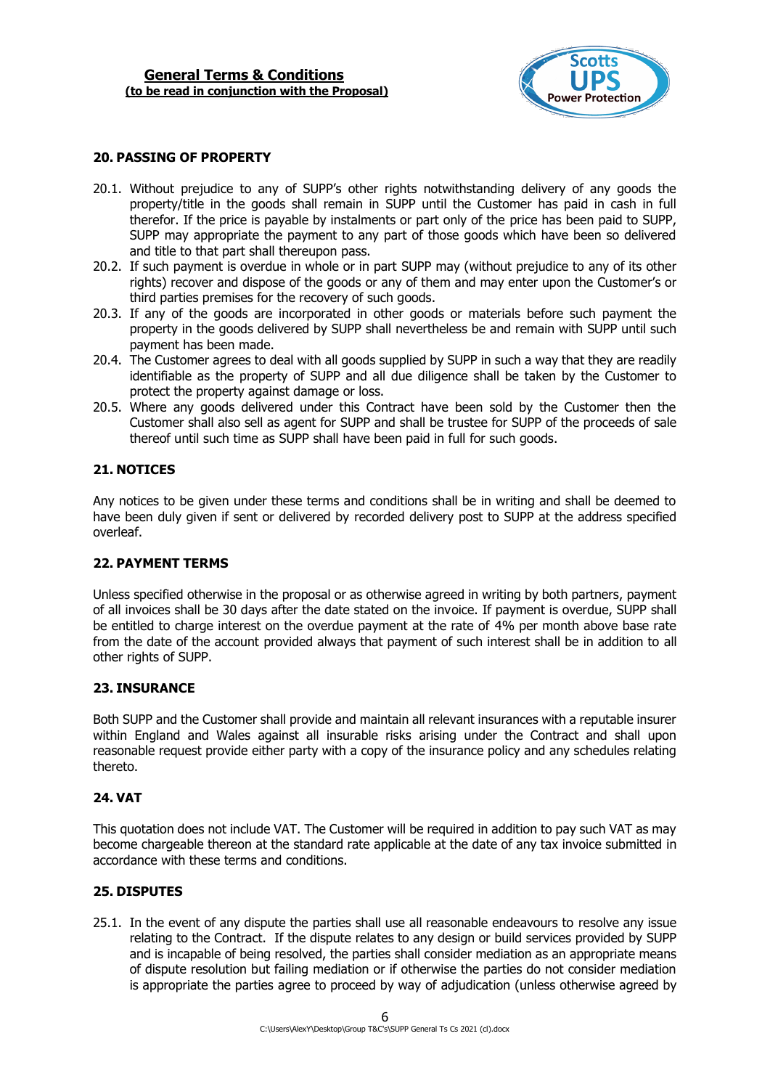

#### **20. PASSING OF PROPERTY**

- 20.1. Without prejudice to any of SUPP's other rights notwithstanding delivery of any goods the property/title in the goods shall remain in SUPP until the Customer has paid in cash in full therefor. If the price is payable by instalments or part only of the price has been paid to SUPP, SUPP may appropriate the payment to any part of those goods which have been so delivered and title to that part shall thereupon pass.
- 20.2. If such payment is overdue in whole or in part SUPP may (without prejudice to any of its other rights) recover and dispose of the goods or any of them and may enter upon the Customer's or third parties premises for the recovery of such goods.
- 20.3. If any of the goods are incorporated in other goods or materials before such payment the property in the goods delivered by SUPP shall nevertheless be and remain with SUPP until such payment has been made.
- 20.4. The Customer agrees to deal with all goods supplied by SUPP in such a way that they are readily identifiable as the property of SUPP and all due diligence shall be taken by the Customer to protect the property against damage or loss.
- 20.5. Where any goods delivered under this Contract have been sold by the Customer then the Customer shall also sell as agent for SUPP and shall be trustee for SUPP of the proceeds of sale thereof until such time as SUPP shall have been paid in full for such goods.

### **21. NOTICES**

Any notices to be given under these terms and conditions shall be in writing and shall be deemed to have been duly given if sent or delivered by recorded delivery post to SUPP at the address specified overleaf.

### **22. PAYMENT TERMS**

Unless specified otherwise in the proposal or as otherwise agreed in writing by both partners, payment of all invoices shall be 30 days after the date stated on the invoice. If payment is overdue, SUPP shall be entitled to charge interest on the overdue payment at the rate of 4% per month above base rate from the date of the account provided always that payment of such interest shall be in addition to all other rights of SUPP.

#### **23. INSURANCE**

Both SUPP and the Customer shall provide and maintain all relevant insurances with a reputable insurer within England and Wales against all insurable risks arising under the Contract and shall upon reasonable request provide either party with a copy of the insurance policy and any schedules relating thereto.

### **24. VAT**

This quotation does not include VAT. The Customer will be required in addition to pay such VAT as may become chargeable thereon at the standard rate applicable at the date of any tax invoice submitted in accordance with these terms and conditions.

### **25. DISPUTES**

25.1. In the event of any dispute the parties shall use all reasonable endeavours to resolve any issue relating to the Contract. If the dispute relates to any design or build services provided by SUPP and is incapable of being resolved, the parties shall consider mediation as an appropriate means of dispute resolution but failing mediation or if otherwise the parties do not consider mediation is appropriate the parties agree to proceed by way of adjudication (unless otherwise agreed by